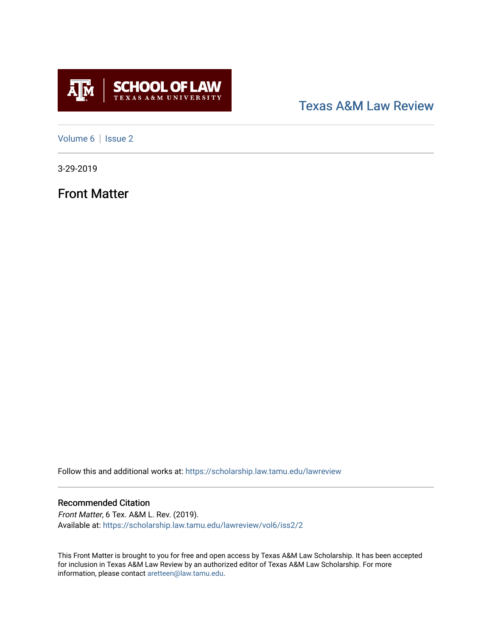

### [Texas A&M Law Review](https://scholarship.law.tamu.edu/lawreview)

[Volume 6](https://scholarship.law.tamu.edu/lawreview/vol6) | Issue 2

3-29-2019

Front Matter

Follow this and additional works at: [https://scholarship.law.tamu.edu/lawreview](https://scholarship.law.tamu.edu/lawreview?utm_source=scholarship.law.tamu.edu%2Flawreview%2Fvol6%2Fiss2%2F2&utm_medium=PDF&utm_campaign=PDFCoverPages)

#### Recommended Citation

Front Matter, 6 Tex. A&M L. Rev. (2019). Available at: [https://scholarship.law.tamu.edu/lawreview/vol6/iss2/2](https://scholarship.law.tamu.edu/lawreview/vol6/iss2/2?utm_source=scholarship.law.tamu.edu%2Flawreview%2Fvol6%2Fiss2%2F2&utm_medium=PDF&utm_campaign=PDFCoverPages)

This Front Matter is brought to you for free and open access by Texas A&M Law Scholarship. It has been accepted for inclusion in Texas A&M Law Review by an authorized editor of Texas A&M Law Scholarship. For more information, please contact [aretteen@law.tamu.edu](mailto:aretteen@law.tamu.edu).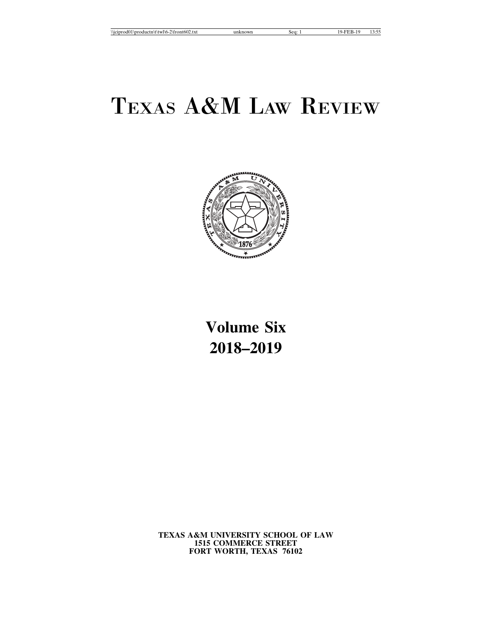

## **Volume Six 2018–2019**

**TEXAS A&M UNIVERSITY SCHOOL OF LAW 1515 COMMERCE STREET FORT WORTH, TEXAS 76102**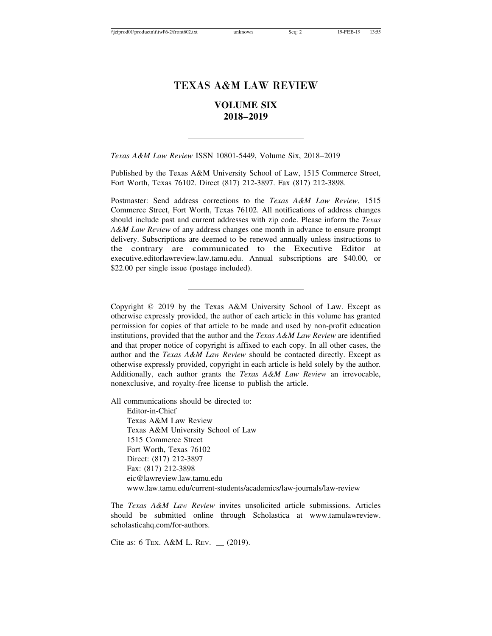### **VOLUME SIX 2018–2019**

*Texas A&M Law Review* ISSN 10801-5449, Volume Six, 2018–2019

Published by the Texas A&M University School of Law, 1515 Commerce Street, Fort Worth, Texas 76102. Direct (817) 212-3897. Fax (817) 212-3898.

Postmaster: Send address corrections to the *Texas A&M Law Review*, 1515 Commerce Street, Fort Worth, Texas 76102. All notifications of address changes should include past and current addresses with zip code. Please inform the *Texas A&M Law Review* of any address changes one month in advance to ensure prompt delivery. Subscriptions are deemed to be renewed annually unless instructions to the contrary are communicated to the Executive Editor at executive.editorlawreview.law.tamu.edu. Annual subscriptions are \$40.00, or \$22.00 per single issue (postage included).

Copyright © 2019 by the Texas A&M University School of Law. Except as otherwise expressly provided, the author of each article in this volume has granted permission for copies of that article to be made and used by non-profit education institutions, provided that the author and the *Texas A&M Law Review* are identified and that proper notice of copyright is affixed to each copy. In all other cases, the author and the *Texas A&M Law Review* should be contacted directly. Except as otherwise expressly provided, copyright in each article is held solely by the author. Additionally, each author grants the *Texas A&M Law Review* an irrevocable, nonexclusive, and royalty-free license to publish the article.

All communications should be directed to:

Editor-in-Chief Texas A&M Law Review Texas A&M University School of Law 1515 Commerce Street Fort Worth, Texas 76102 Direct: (817) 212-3897 Fax: (817) 212-3898 eic@lawreview.law.tamu.edu www.law.tamu.edu/current-students/academics/law-journals/law-review

The *Texas A&M Law Review* invites unsolicited article submissions. Articles should be submitted online through Scholastica at www.tamulawreview. scholasticahq.com/for-authors.

Cite as: 6 TEX. A&M L. REV. \_\_ (2019).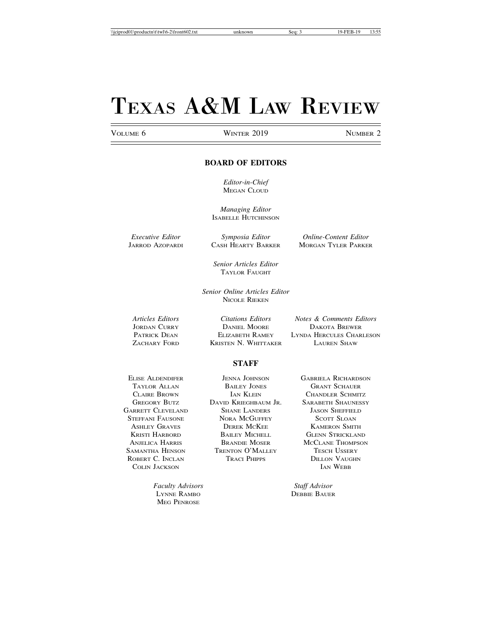#### VOLUME 6 **WINTER 2019** NUMBER 2

#### **BOARD OF EDITORS**

*Editor-in-Chief* MEGAN CLOUD

*Managing Editor* ISABELLE HUTCHINSON

*Executive Editor Symposia Editor Online-Content Editor* JARROD AZOPARDI CASH HEARTY BARKER MORGAN TYLER PARKER

> *Senior Articles Editor* TAYLOR FAUGHT

*Senior Online Articles Editor* NICOLE RIEKEN

JORDAN CURRY DANIEL MOORE DAKOTA BREWER ZACHARY FORD KRISTEN N. WHITTAKER LAUREN SHAW

*Articles Editors Citations Editors Notes & Comments Editors* LYNDA HERCULES CHARLESON

#### **STAFF**

STEFFANI FAUSONE ROBERT C. INCLAN TRACI PHIPPS DILLON VAUGHN COLIN JACKSON IAN WEBB COLIN JACKSON

GREGORY BUTZ DAVID KRIEGHBAUM JR. SARABETH SHAUNESSY EXARETT CLEVELAND SHANE LANDERS JASON SHEFFIELD<br>STEFFANI FAUSONE NORA MCGUFFEY SCOTT SLOAN ASHLEY GRAVES **DEREK MCKEE** KAMERON SMITH KRISTI HARBORD BAILEY MICHELL GLENN STRICKLAND ANJELICA HARRIS BRANDIE MOSER MCCLANE THOMPSON SAMANTHA HENSON TRENTON O'MALLEY TESCH USSERY

ELISE ALDENDIFER JENNA JOHNSON GABRIELA RICHARDSON<br>TAYLOR ALLAN BAILEY JONES GRANT SCHAUER TAYLOR ALLAN BAILEY JONES GRANT SCHAUER CLAIRE BROWN **IAN KLEIN** CHANDLER SCHMITZ

*Faculty Advisors Staff Advisor* LYNNE RAMBO DEBBIE BAUER MEG PENROSE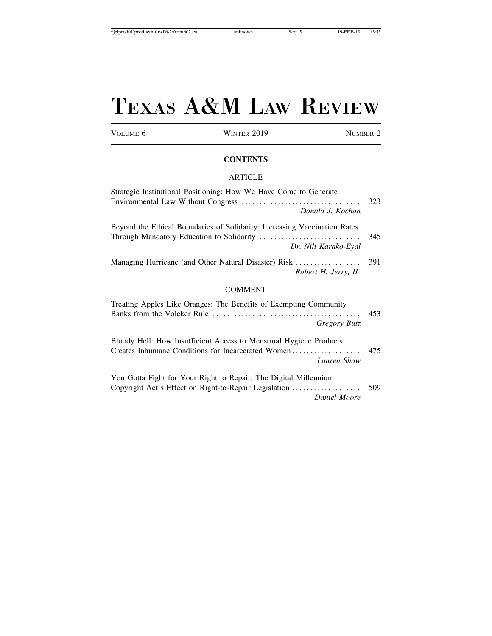VOLUME 6 WINTER 2019 NUMBER 2

#### **CONTENTS**

#### ARTICLE

| Strategic Institutional Positioning: How We Have Come to Generate                                                                       |     |
|-----------------------------------------------------------------------------------------------------------------------------------------|-----|
| Donald J. Kochan                                                                                                                        | 323 |
| Beyond the Ethical Boundaries of Solidarity: Increasing Vaccination Rates<br>Dr. Nili Karako-Eyal                                       | 345 |
| Managing Hurricane (and Other Natural Disaster) Risk<br>Robert H. Jerry, II                                                             | 391 |
| <b>COMMENT</b>                                                                                                                          |     |
| Treating Apples Like Oranges: The Benefits of Exempting Community<br>Gregory Butz                                                       | 453 |
| Bloody Hell: How Insufficient Access to Menstrual Hygiene Products<br>Creates Inhumane Conditions for Incarcerated Women<br>Lauren Shaw | 475 |
| You Gotta Fight for Your Right to Repair: The Digital Millennium<br>Copyright Act's Effect on Right-to-Repair Legislation               | 509 |

*Daniel Moore*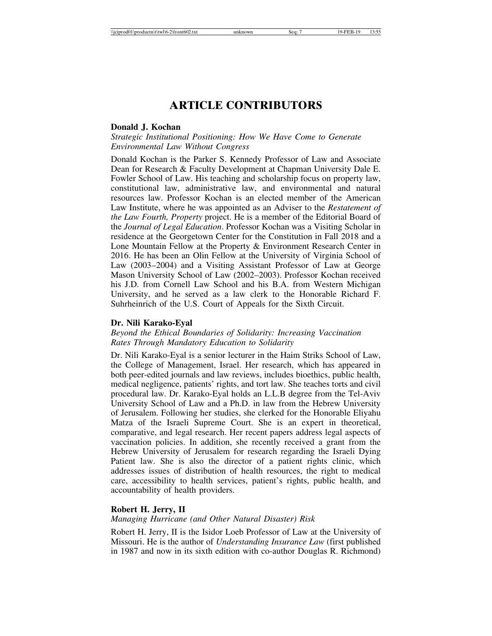### **ARTICLE CONTRIBUTORS**

#### **Donald J. Kochan**

*Strategic Institutional Positioning: How We Have Come to Generate Environmental Law Without Congress*

Donald Kochan is the Parker S. Kennedy Professor of Law and Associate Dean for Research & Faculty Development at Chapman University Dale E. Fowler School of Law. His teaching and scholarship focus on property law, constitutional law, administrative law, and environmental and natural resources law. Professor Kochan is an elected member of the American Law Institute, where he was appointed as an Adviser to the *Restatement of the Law Fourth, Property* project. He is a member of the Editorial Board of the *Journal of Legal Education*. Professor Kochan was a Visiting Scholar in residence at the Georgetown Center for the Constitution in Fall 2018 and a Lone Mountain Fellow at the Property & Environment Research Center in 2016. He has been an Olin Fellow at the University of Virginia School of Law (2003–2004) and a Visiting Assistant Professor of Law at George Mason University School of Law (2002–2003). Professor Kochan received his J.D. from Cornell Law School and his B.A. from Western Michigan University, and he served as a law clerk to the Honorable Richard F. Suhrheinrich of the U.S. Court of Appeals for the Sixth Circuit.

#### **Dr. Nili Karako-Eyal**

*Beyond the Ethical Boundaries of Solidarity: Increasing Vaccination Rates Through Mandatory Education to Solidarity*

Dr. Nili Karako-Eyal is a senior lecturer in the Haim Striks School of Law, the College of Management, Israel. Her research, which has appeared in both peer-edited journals and law reviews, includes bioethics, public health, medical negligence, patients' rights, and tort law. She teaches torts and civil procedural law. Dr. Karako-Eyal holds an L.L.B degree from the Tel-Aviv University School of Law and a Ph.D. in law from the Hebrew University of Jerusalem. Following her studies, she clerked for the Honorable Eliyahu Matza of the Israeli Supreme Court. She is an expert in theoretical, comparative, and legal research. Her recent papers address legal aspects of vaccination policies. In addition, she recently received a grant from the Hebrew University of Jerusalem for research regarding the Israeli Dying Patient law. She is also the director of a patient rights clinic, which addresses issues of distribution of health resources, the right to medical care, accessibility to health services, patient's rights, public health, and accountability of health providers.

#### **Robert H. Jerry, II**

#### *Managing Hurricane (and Other Natural Disaster) Risk*

Robert H. Jerry, II is the Isidor Loeb Professor of Law at the University of Missouri. He is the author of *Understanding Insurance Law* (first published in 1987 and now in its sixth edition with co-author Douglas R. Richmond)